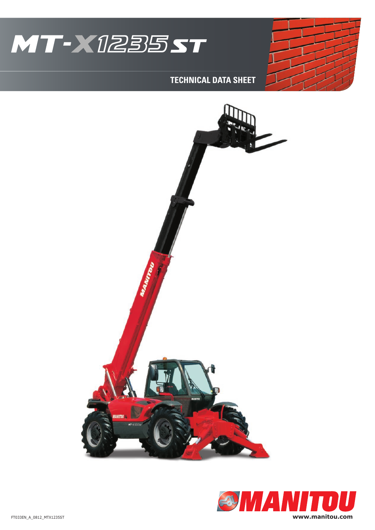

## **TECHNICAL DATA SHEET**